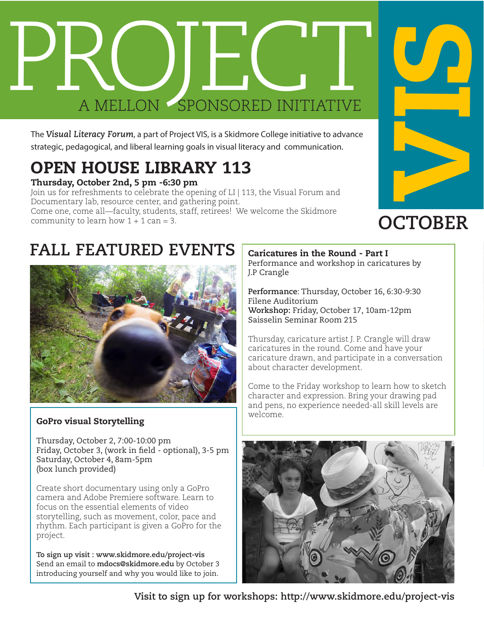

The *Visual Literacy Forum*, a part of Project VIS, is a Skidmore College initiative to advance strategic, pedagogical, and liberal learning goals in visual literacy and communication.

# OPEN HOUSE LIBRARY 113

#### Thursday, October 2nd, 5 pm -6:30 pm

Join us for refreshments to celebrate the opening of LI | 113, the Visual Forum and Documentary lab, resource center, and gathering point. Come one, come all—faculty, students, staff, retirees! We welcome the Skidmore community to learn how  $1 + 1$  can = 3.



## **OCTOBER**

### **FALL FEATURED EVENTS**



### GoPro visual Storytelling

Thursday, October 2, 7:00-10:00 pm Friday, October 3, (work in field - optional), 3-5 pm Saturday, October 4, 8am-5pm (box lunch provided)

Create short documentary using only a GoPro camera and Adobe Premiere software. Learn to focus on the essential elements of video storytelling, such as movement, color, pace and rhythm. Each participant is given a GoPro for the project.

**To sign up visit : www.skidmore.edu/project-vis** Send an email to **mdocs@skidmore.edu** by October 3 introducing yourself and why you would like to join.

Caricatures in the Round - Part I Performance and workshop in caricatures by J.P Crangle

**Performance**: Thursday, October 16, 6:30-9:30 Filene Auditorium **Workshop:** Friday, October 17, 10am-12pm Saisselin Seminar Room 215

Thursday, caricature artist J. P. Crangle will draw caricatures in the round. Come and have your caricature drawn, and participate in a conversation about character development.

Come to the Friday workshop to learn how to sketch character and expression. Bring your drawing pad and pens, no experience needed-all skill levels are welcome.



**Visit to sign up for workshops: http://www.skidmore.edu/project-vis**